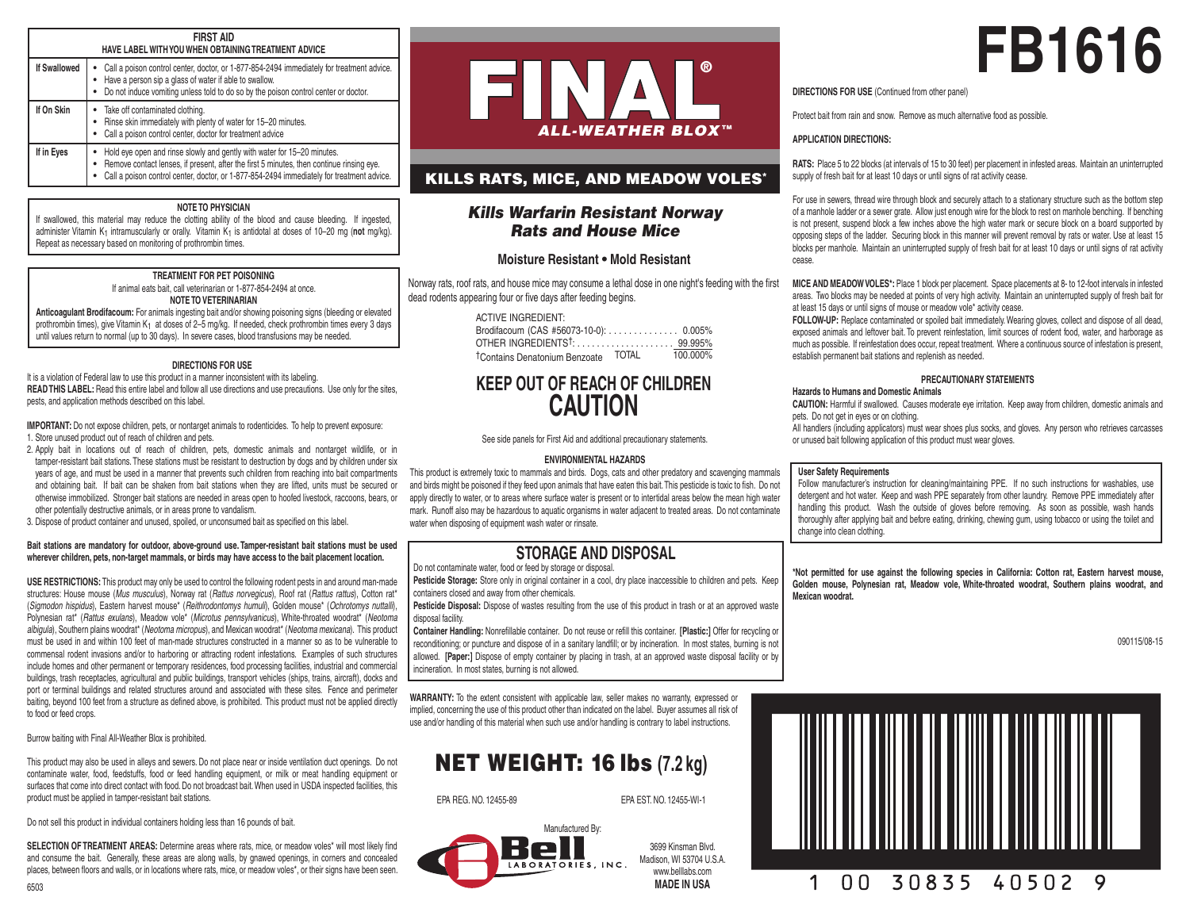#### **FIRST AID HAVE LABEL WITH YOU WHEN OBTAINING TREATMENT ADVICE**

| <b>If Swallowed</b> | Call a poison control center, doctor, or 1-877-854-2494 immediately for treatment advice.<br>Have a person sip a glass of water if able to swallow.<br>Do not induce vomiting unless told to do so by the poison control center or doctor.                       |  |
|---------------------|------------------------------------------------------------------------------------------------------------------------------------------------------------------------------------------------------------------------------------------------------------------|--|
| If On Skin          | Take off contaminated clothing.<br>Rinse skin immediately with plenty of water for 15-20 minutes.<br>Call a poison control center, doctor for treatment advice                                                                                                   |  |
| If in Eyes          | Hold eye open and rinse slowly and gently with water for 15-20 minutes.<br>Remove contact lenses, if present, after the first 5 minutes, then continue rinsing eye.<br>Call a poison control center, doctor, or 1-877-854-2494 immediately for treatment advice. |  |

## **NOTE TO PHYSICIAN**

If swallowed, this material may reduce the clotting ability of the blood and cause bleeding. If ingested, administer Vitamin K<sub>1</sub> intramuscularly or orally. Vitamin K<sub>1</sub> is antidotal at doses of 10–20 mg (not mg/kg). Repeat as necessary based on monitoring of prothrombin times.

## **TREATMENT FOR PET POISONING**

If animal eats bait, call veterinarian or 1-877-854-2494 at once. **NOTE TO VETERINARIAN**

**Anticoagulant Brodifacoum:** For animals ingesting bait and/or showing poisoning signs (bleeding or elevated prothrombin times), give Vitamin K1 at doses of 2–5 mg/kg. If needed, check prothrombin times every 3 days until values return to normal (up to 30 days). In severe cases, blood transfusions may be needed.

## **DIRECTIONS FOR USE**

It is a violation of Federal law to use this product in a manner inconsistent with its labeling. **READ THIS LABEL:** Read this entire label and follow all use directions and use precautions. Use only for the sites, pests, and application methods described on this label.

**IMPORTANT:** Do not expose children, pets, or nontarget animals to rodenticides. To help to prevent exposure:

- 1. Store unused product out of reach of children and pets.
- 2. Apply bait in locations out of reach of children, pets, domestic animals and nontarget wildlife, or in tamper-resistant bait stations. These stations must be resistant to destruction by dogs and by children under six years of age, and must be used in a manner that prevents such children from reaching into bait compartments and obtaining bait. If bait can be shaken from bait stations when they are lifted, units must be secured or otherwise immobilized. Stronger bait stations are needed in areas open to hoofed livestock, raccoons, bears, or other potentially destructive animals, or in areas prone to vandalism.
- 3. Dispose of product container and unused, spoiled, or unconsumed bait as specified on this label.

## **Bait stations are mandatory for outdoor, above-ground use. Tamper-resistant bait stations must be used wherever children, pets, non-target mammals, or birds may have access to the bait placement location.**

**USE RESTRICTIONS:** This product may only be used to control the following rodent pests in and around man-made structures: House mouse (*Mus musculus*), Norway rat (*Rattus norvegicus*), Roof rat (*Rattus rattus*), Cotton rat\* (*Sigmodon hispidus*), Eastern harvest mouse\* (*Reithrodontomys humuli*), Golden mouse\* (*Ochrotomys nuttalli*), Polynesian rat\* (*Rattus exulans*), Meadow vole\* (*Microtus pennsylvanicus*), White-throated woodrat\* (*Neotoma albigula*), Southern plains woodrat\* (*Neotoma micropus*), and Mexican woodrat\* (*Neotoma mexicana*). This product must be used in and within 100 feet of man-made structures constructed in a manner so as to be vulnerable to commensal rodent invasions and/or to harboring or attracting rodent infestations. Examples of such structures include homes and other permanent or temporary residences, food processing facilities, industrial and commercial buildings, trash receptacles, agricultural and public buildings, transport vehicles (ships, trains, aircraft), docks and port or terminal buildings and related structures around and associated with these sites. Fence and perimeter baiting, beyond 100 feet from a structure as defined above, is prohibited. This product must not be applied directly to food or feed crops.

Burrow baiting with Final All-Weather Blox is prohibited.

This product may also be used in alleys and sewers. Do not place near or inside ventilation duct openings. Do not contaminate water, food, feedstuffs, food or feed handling equipment, or milk or meat handling equipment or surfaces that come into direct contact with food. Do not broadcast bait. When used in USDA inspected facilities, this product must be applied in tamper-resistant bait stations.

Do not sell this product in individual containers holding less than 16 pounds of bait.

**SELECTION OF TREATMENT AREAS:** Determine areas where rats, mice, or meadow voles\* will most likely find and consume the bait. Generally, these areas are along walls, by gnawed openings, in corners and concealed places, between floors and walls, or in locations where rats, mice, or meadow voles\*, or their signs have been seen.



## KILLS RATS, MICE, AND MEADOW VOLES\*

## *Kills Warfarin Resistant Norway Rats and House Mice*

## **Moisture Resistant • Mold Resistant**

Norway rats, roof rats, and house mice may consume a lethal dose in one night's feeding with the first dead rodents appearing four or five days after feeding begins.

| ACTIVE INGREDIENT:                    |  |
|---------------------------------------|--|
| Brodifacoum (CAS #56073-10-0): 0.005% |  |

| 100.000% |
|----------|
|          |

# **KEEP OUT OF REACH OF CHILDREN CAUTION**

See side panels for First Aid and additional precautionary statements.

## **ENVIRONMENTAL HAZARDS**

This product is extremely toxic to mammals and birds. Dogs, cats and other predatory and scavenging mammals and birds might be poisoned if they feed upon animals that have eaten this bait. This pesticide is toxic to fish. Do not apply directly to water, or to areas where surface water is present or to intertidal areas below the mean high water mark. Runoff also may be hazardous to aquatic organisms in water adjacent to treated areas. Do not contaminate water when disposing of equipment wash water or rinsate.

## **STORAGE AND DISPOSAL**

Do not contaminate water, food or feed by storage or disposal.

**Pesticide Storage:** Store only in original container in a cool, dry place inaccessible to children and pets. Keep containers closed and away from other chemicals.

**Pesticide Disposal:** Dispose of wastes resulting from the use of this product in trash or at an approved waste disposal facility.

**Container Handling:** Nonrefillable container. Do not reuse or refill this container. **[Plastic:]** Offer for recycling or reconditioning; or puncture and dispose of in a sanitary landfill; or by incineration. In most states, burning is not allowed. **[Paper:]** Dispose of empty container by placing in trash, at an approved waste disposal facility or by incineration. In most states, burning is not allowed.

**WARRANTY:** To the extent consistent with applicable law, seller makes no warranty, expressed or implied, concerning the use of this product other than indicated on the label. Buyer assumes all risk of use and/or handling of this material when such use and/or handling is contrary to label instructions.

# NET WEIGHT: 16 lbs **(7.2 kg)**

EPA REG. NO. 12455-89 EPA EST. NO. 12455-WI-1

Manufactured By: Rell LABORATORIES, INC.

3699 Kinsman Blvd. Madison, WI 53704 U.S.A. www.belllabs.com **MADE IN USA**

# **FB1616**

**DIRECTIONS FOR USE** (Continued from other panel)

Protect bait from rain and snow. Remove as much alternative food as possible.

## **APPLICATION DIRECTIONS:**

**RATS:** Place 5 to 22 blocks (at intervals of 15 to 30 feet) per placement in infested areas. Maintain an uninterrupted supply of fresh bait for at least 10 days or until signs of rat activity cease.

For use in sewers, thread wire through block and securely attach to a stationary structure such as the bottom step of a manhole ladder or a sewer grate. Allow just enough wire for the block to rest on manhole benching. If benching is not present, suspend block a few inches above the high water mark or secure block on a board supported by opposing steps of the ladder. Securing block in this manner will prevent removal by rats or water. Use at least 15 blocks per manhole. Maintain an uninterrupted supply of fresh bait for at least 10 days or until signs of rat activity cease.

**MICE AND MEADOW VOLES\*:** Place 1 block per placement. Space placements at 8- to 12-foot intervals in infested areas. Two blocks may be needed at points of very high activity. Maintain an uninterrupted supply of fresh bait for at least 15 days or until signs of mouse or meadow vole\* activity cease.

**FOLLOW-UP:** Replace contaminated or spoiled bait immediately. Wearing gloves, collect and dispose of all dead, exposed animals and leftover bait. To prevent reinfestation, limit sources of rodent food, water, and harborage as much as possible. If reinfestation does occur, repeat treatment. Where a continuous source of infestation is present, establish permanent bait stations and replenish as needed.

## **PRECAUTIONARY STATEMENTS**

## **Hazards to Humans and Domestic Animals**

**CAUTION:** Harmful if swallowed. Causes moderate eye irritation. Keep away from children, domestic animals and pets. Do not get in eyes or on clothing.

All handlers (including applicators) must wear shoes plus socks, and gloves. Any person who retrieves carcasses or unused bait following application of this product must wear gloves.

## **User Safety Requirements**

Follow manufacturer's instruction for cleaning/maintaining PPE. If no such instructions for washables, use detergent and hot water. Keep and wash PPE separately from other laundry. Remove PPE immediately after handling this product. Wash the outside of gloves before removing. As soon as possible, wash hands thoroughly after applying bait and before eating, drinking, chewing gum, using tobacco or using the toilet and change into clean clothing.

**\*Not permitted for use against the following species in California: Cotton rat, Eastern harvest mouse, Golden mouse, Polynesian rat, Meadow vole, White-throated woodrat, Southern plains woodrat, and Mexican woodrat.**

090115/08-15

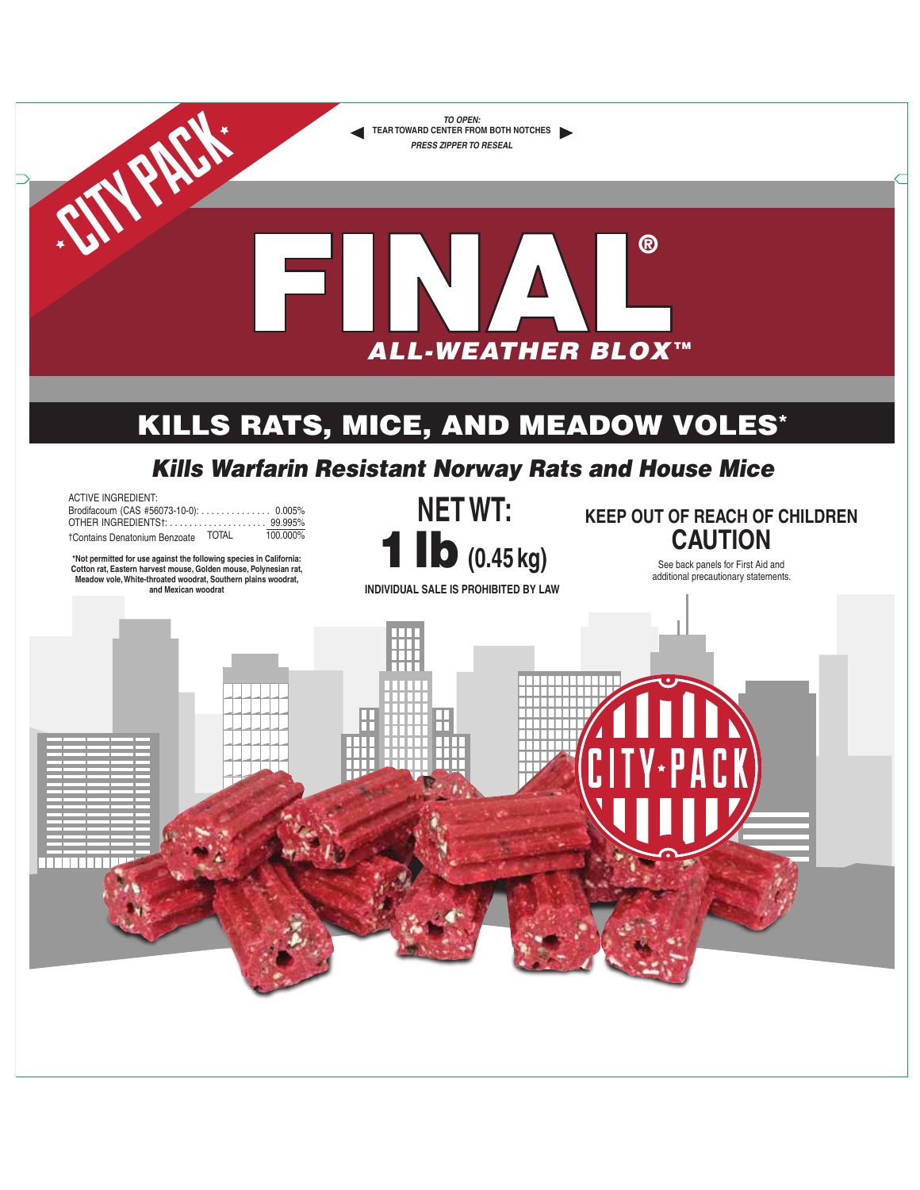